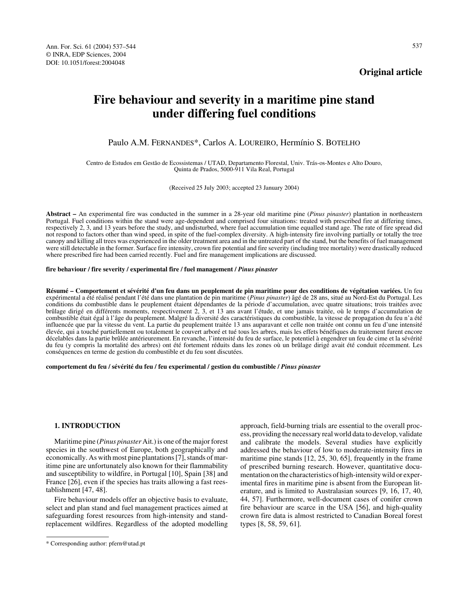# **Original article**

# **Fire behaviour and severity in a maritime pine stand under differing fuel conditions**

Paulo A.M. FERNANDES\*, Carlos A. LOUREIRO, Hermínio S. BOTELHO

Centro de Estudos em Gestão de Ecossistemas / UTAD, Departamento Florestal, Univ. Trás-os-Montes e Alto Douro, Quinta de Prados, 5000-911 Vila Real, Portugal

(Received 25 July 2003; accepted 23 January 2004)

**Abstract –** An experimental fire was conducted in the summer in a 28-year old maritime pine (*Pinus pinaster*) plantation in northeastern Portugal. Fuel conditions within the stand were age-dependent and comprised four situations: treated with prescribed fire at differing times, respectively 2, 3, and 13 years before the study, and undisturbed, where fuel accumulation time equalled stand age. The rate of fire spread did not respond to factors other than wind speed, in spite of the fuel-complex diversity. A high-intensity fire involving partially or totally the tree canopy and killing all trees was experienced in the older treatment area and in the untreated part of the stand, but the benefits of fuel management were still detectable in the former. Surface fire intensity, crown fire potential and fire severity (including tree mortality) were drastically reduced where prescribed fire had been carried recently. Fuel and fire management implications are discussed.

**fire behaviour / fire severity / experimental fire / fuel management /** *Pinus pinaster*

**Résumé – Comportement et sévérité d'un feu dans un peuplement de pin maritime pour des conditions de végétation variées.** Un feu expérimental a été réalisé pendant l'été dans une plantation de pin maritime (*Pinus pinaster*) âgé de 28 ans, situé au Nord-Est du Portugal. Les conditions du combustible dans le peuplement étaient dépendantes de la période d'accumulation, avec quatre situations; trois traitées avec brûlage dirigé en différents moments, respectivement 2, 3, et 13 ans avant l'étude, et une jamais traitée, où le temps d'accumulation de combustible était égal à l'âge du peuplement. Malgré la diversité des caractéristiques du combustible, la vitesse de propagation du feu n'a été influencée que par la vitesse du vent. La partie du peuplement traitée 13 ans auparavant et celle non traitée ont connu un feu d'une intensité élevée, qui a touché partiellement ou totalement le couvert arboré et tué tous les arbres, mais les effets bénéfiques du traitement furent encore décelables dans la partie brûlée antérieurement. En revanche, l'intensité du feu de surface, le potentiel à engendrer un feu de cime et la sévérité du feu (y compris la mortalité des arbres) ont été fortement réduits dans les zones où un brûlage dirigé avait été conduit récemment. Les conséquences en terme de gestion du combustible et du feu sont discutées.

**comportement du feu / sévérité du feu / feu experimental / gestion du combustible /** *Pinus pinaster*

## **1. INTRODUCTION**

Maritime pine (*Pinus pinaster* Ait.) is one of the major forest species in the southwest of Europe, both geographically and economically. As with most pine plantations [7], stands of maritime pine are unfortunately also known for their flammability and susceptibility to wildfire, in Portugal [10], Spain [38] and France [26], even if the species has traits allowing a fast reestablishment [47, 48].

Fire behaviour models offer an objective basis to evaluate, select and plan stand and fuel management practices aimed at safeguarding forest resources from high-intensity and standreplacement wildfires. Regardless of the adopted modelling

approach, field-burning trials are essential to the overall process, providing the necessary real world data to develop, validate and calibrate the models. Several studies have explicitly addressed the behaviour of low to moderate-intensity fires in maritime pine stands [12, 25, 30, 65], frequently in the frame of prescribed burning research. However, quantitative documentation on the characteristics of high-intensity wild or experimental fires in maritime pine is absent from the European literature, and is limited to Australasian sources [9, 16, 17, 40, 44, 57]. Furthermore, well-document cases of conifer crown fire behaviour are scarce in the USA [56], and high-quality crown fire data is almost restricted to Canadian Boreal forest types [8, 58, 59, 61].

<sup>\*</sup> Corresponding author: pfern@utad.pt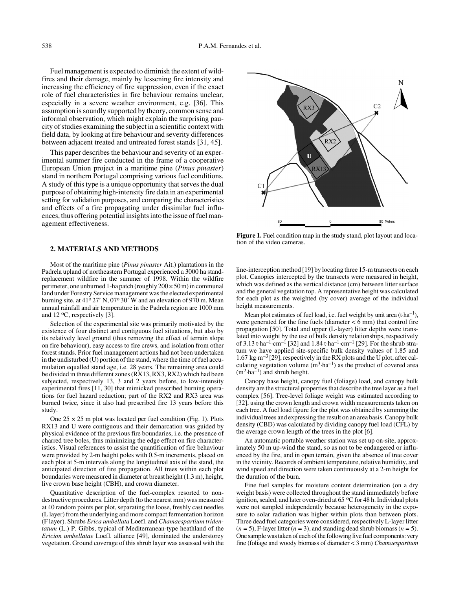Fuel management is expected to diminish the extent of wildfires and their damage, mainly by lessening fire intensity and increasing the efficiency of fire suppression, even if the exact role of fuel characteristics in fire behaviour remains unclear, especially in a severe weather environment, e.g. [36]. This assumption is soundly supported by theory, common sense and informal observation, which might explain the surprising paucity of studies examining the subject in a scientific context with field data, by looking at fire behaviour and severity differences between adjacent treated and untreated forest stands [31, 45].

This paper describes the behaviour and severity of an experimental summer fire conducted in the frame of a cooperative European Union project in a maritime pine (*Pinus pinaster*) stand in northern Portugal comprising various fuel conditions. A study of this type is a unique opportunity that serves the dual purpose of obtaining high-intensity fire data in an experimental setting for validation purposes, and comparing the characteristics and effects of a fire propagating under dissimilar fuel influences, thus offering potential insights into the issue of fuel management effectiveness.

# **2. MATERIALS AND METHODS**

Most of the maritime pine (*Pinus pinaster* Ait.) plantations in the Padrela upland of northeastern Portugal experienced a 3000 ha standreplacement wildfire in the summer of 1998. Within the wildfire perimeter, one unburned 1-ha patch (roughly  $200 \times 50$  m) in communal land under Forestry Service management was the elected experimental burning site, at  $41^{\circ}$  27' N, 07° 30' W and an elevation of 970 m. Mean annual rainfall and air temperature in the Padrela region are 1000 mm and 12  $\textdegree$ C, respectively [3].

Selection of the experimental site was primarily motivated by the existence of four distinct and contiguous fuel situations, but also by its relatively level ground (thus removing the effect of terrain slope on fire behaviour), easy access to fire crews, and isolation from other forest stands. Prior fuel management actions had not been undertaken in the undisturbed (U) portion of the stand, where the time of fuel accumulation equalled stand age, i.e. 28 years. The remaining area could be divided in three different zones (RX13, RX3, RX2) which had been subjected, respectively 13, 3 and 2 years before, to low-intensity experimental fires [11, 30] that mimicked prescribed burning operations for fuel hazard reduction; part of the RX2 and RX3 area was burned twice, since it also had prescribed fire 13 years before this study.

One  $25 \times 25$  m plot was located per fuel condition (Fig. 1). Plots RX13 and U were contiguous and their demarcation was guided by physical evidence of the previous fire boundaries, i.e. the presence of charred tree boles, thus minimizing the edge effect on fire characteristics. Visual references to assist the quantification of fire behaviour were provided by 2-m height poles with 0.5-m increments, placed on each plot at 5-m intervals along the longitudinal axis of the stand, the anticipated direction of fire propagation. All trees within each plot boundaries were measured in diameter at breast height (1.3 m), height, live crown base height (CBH), and crown diameter.

Quantitative description of the fuel-complex resorted to nondestructive procedures. Litter depth (to the nearest mm) was measured at 40 random points per plot, separating the loose, freshly cast needles (L layer) from the underlying and more compact fermentation horizon (F layer). Shrubs *Erica umbellata* Loefl. and *Chamaespartium tridentatum* (L.) P. Gibbs, typical of Mediterranean-type heathland of the *Ericion umbellatae* Loefl. alliance [49], dominated the understorey vegetation. Ground coverage of this shrub layer was assessed with the



**Figure 1.** Fuel condition map in the study stand, plot layout and location of the video cameras.

line-interception method [19] by locating three 15-m transects on each plot. Canopies intercepted by the transects were measured in height, which was defined as the vertical distance (cm) between litter surface and the general vegetation top. A representative height was calculated for each plot as the weighted (by cover) average of the individual height measurements.

Mean plot estimates of fuel load, i.e. fuel weight by unit area  $(t·ha^{-1})$ , were generated for the fine fuels (diameter  $< 6$  mm) that control fire propagation [50]. Total and upper (L-layer) litter depths were translated into weight by the use of bulk density relationships, respectively of 3.13 t·ha<sup>-1</sup>·cm<sup>-1</sup> [32] and 1.84 t·ha<sup>-1</sup>·cm<sup>-1</sup> [29]. For the shrub stratum we have applied site-specific bulk density values of 1.85 and 1.67 kg·m<sup>-3</sup> [29], respectively in the RX plots and the U plot, after calculating vegetation volume  $(m^3 \cdot ha^{-1})$  as the product of covered area  $(m^2 \cdot ha^{-1})$  and shrub height.

Canopy base height, canopy fuel (foliage) load, and canopy bulk density are the structural properties that describe the tree layer as a fuel complex [56]. Tree-level foliage weight was estimated according to [32], using the crown length and crown width measurements taken on each tree. A fuel load figure for the plot was obtained by summing the individual trees and expressing the result on an area basis. Canopy bulk density (CBD) was calculated by dividing canopy fuel load (CFL) by the average crown length of the trees in the plot [6].

An automatic portable weather station was set up on-site, approximately 50 m up-wind the stand, so as not to be endangered or influenced by the fire, and in open terrain, given the absence of tree cover in the vicinity. Records of ambient temperature, relative humidity, and wind speed and direction were taken continuously at a 2-m height for the duration of the burn.

Fine fuel samples for moisture content determination (on a dry weight basis) were collected throughout the stand immediately before ignition, sealed, and later oven-dried at 65 °C for 48 h. Individual plots were not sampled independently because heterogeneity in the exposure to solar radiation was higher within plots than between plots. Three dead fuel categories were considered, respectively L-layer litter  $(n = 5)$ , F-layer litter  $(n = 3)$ , and standing dead shrub biomass  $(n = 5)$ . One sample was taken of each of the following live fuel components: very fine (foliage and woody biomass of diameter < 3 mm) *Chamaespartium*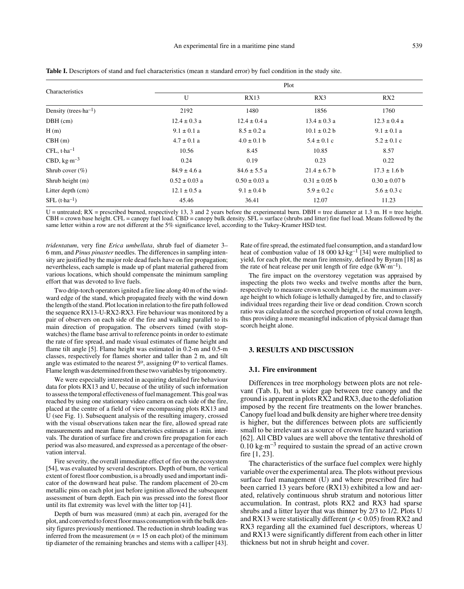| Characteristics                           | Plot              |                   |                   |                   |  |
|-------------------------------------------|-------------------|-------------------|-------------------|-------------------|--|
|                                           | $\mathbf{U}$      | RX13              | RX3               | RX2               |  |
| Density (trees $\cdot$ ha <sup>-1</sup> ) | 2192              | 1480              | 1856              | 1760              |  |
| $DBH$ (cm)                                | $12.4 \pm 0.3$ a  | $12.4 \pm 0.4$ a  | $13.4 \pm 0.3$ a  | $12.3 \pm 0.4 a$  |  |
| H(m)                                      | $9.1 \pm 0.1 a$   | $8.5 \pm 0.2 a$   | $10.1 \pm 0.2 b$  | $9.1 \pm 0.1 a$   |  |
| CBH(m)                                    | $4.7 \pm 0.1 a$   | $4.0 \pm 0.1$ b   | $5.4 \pm 0.1$ c   | $5.2 \pm 0.1$ c   |  |
| $CFL$ , t $\cdot$ ha <sup>-1</sup>        | 10.56             | 8.45              | 10.85             | 8.57              |  |
| CBD, $\text{kg}\cdot\text{m}^{-3}$        | 0.24              | 0.19              | 0.23              | 0.22              |  |
| Shrub cover $(\%)$                        | $84.9 \pm 4.6 a$  | $84.6 \pm 5.5 a$  | $21.4 \pm 6.7$ b  | $17.3 \pm 1.6 b$  |  |
| Shrub height (m)                          | $0.52 \pm 0.03$ a | $0.50 \pm 0.03$ a | $0.31 \pm 0.05$ b | $0.30 \pm 0.07$ b |  |
| Litter depth (cm)                         | $12.1 \pm 0.5$ a  | $9.1 \pm 0.4 b$   | $5.9 \pm 0.2$ c   | $5.6 \pm 0.3$ c   |  |
| $SFL(ttha-1)$                             | 45.46             | 36.41             | 12.07             | 11.23             |  |

Table I. Descriptors of stand and fuel characteristics (mean  $\pm$  standard error) by fuel condition in the study site.

 $U =$  untreated; RX = prescribed burned, respectively 13, 3 and 2 years before the experimental burn. DBH = tree diameter at 1.3 m. H = tree height.  $CBH = \text{crown}$  base height. CFL = canopy fuel load. CBD = canopy bulk density. SFL = surface (shrubs and litter) fine fuel load. Means followed by the same letter within a row are not different at the 5% significance level, according to the Tukey-Kramer HSD test.

*tridentatum*, very fine *Erica umbellata*, shrub fuel of diameter 3– 6 mm, and *Pinus pinaster* needles. The differences in sampling intensity are justified by the major role dead fuels have on fire propagation; nevertheless, each sample is made up of plant material gathered from various locations, which should compensate the minimum sampling effort that was devoted to live fuels.

Two drip-torch operators ignited a fire line along 40 m of the windward edge of the stand, which propagated freely with the wind down the length of the stand. Plot location in relation to the fire path followed the sequence RX13-U-RX2-RX3. Fire behaviour was monitored by a pair of observers on each side of the fire and walking parallel to its main direction of propagation. The observers timed (with stopwatches) the flame base arrival to reference points in order to estimate the rate of fire spread, and made visual estimates of flame height and flame tilt angle [5]. Flame height was estimated in 0.2-m and 0.5-m classes, respectively for flames shorter and taller than 2 m, and tilt angle was estimated to the nearest  $5^{\circ}$ , assigning  $0^{\circ}$  to vertical flames. Flame length was determined from these two variables by trigonometry.

We were especially interested in acquiring detailed fire behaviour data for plots RX13 and U, because of the utility of such information to assess the temporal effectiveness of fuel management. This goal was reached by using one stationary video camera on each side of the fire, placed at the centre of a field of view encompassing plots RX13 and U (see Fig. 1). Subsequent analysis of the resulting imagery, crossed with the visual observations taken near the fire, allowed spread rate measurements and mean flame characteristics estimates at 1-min. intervals. The duration of surface fire and crown fire propagation for each period was also measured, and expressed as a percentage of the observation interval.

Fire severity, the overall immediate effect of fire on the ecosystem [54], was evaluated by several descriptors. Depth of burn, the vertical extent of forest floor combustion, is a broadly used and important indicator of the downward heat pulse. The random placement of 20-cm metallic pins on each plot just before ignition allowed the subsequent assessment of burn depth. Each pin was pressed into the forest floor until its flat extremity was level with the litter top [41].

Depth of burn was measured (mm) at each pin, averaged for the plot, and converted to forest floor mass consumption with the bulk density figures previously mentioned. The reduction in shrub loading was inferred from the measurement ( $n = 15$  on each plot) of the minimum tip diameter of the remaining branches and stems with a calliper [43].

Rate of fire spread, the estimated fuel consumption, and a standard low heat of combustion value of 18 000 kJ·kg<sup>-1</sup> [34] were multiplied to yield, for each plot, the mean fire intensity, defined by Byram [18] as the rate of heat release per unit length of fire edge  $(kW·m^{-1})$ .

The fire impact on the overstorey vegetation was appraised by inspecting the plots two weeks and twelve months after the burn, respectively to measure crown scorch height, i.e. the maximum average height to which foliage is lethally damaged by fire, and to classify individual trees regarding their live or dead condition. Crown scorch ratio was calculated as the scorched proportion of total crown length, thus providing a more meaningful indication of physical damage than scorch height alone.

#### **3. RESULTS AND DISCUSSION**

## **3.1. Fire environment**

Differences in tree morphology between plots are not relevant (Tab. I), but a wider gap between tree canopy and the ground is apparent in plots RX2 and RX3, due to the defoliation imposed by the recent fire treatments on the lower branches. Canopy fuel load and bulk density are higher where tree density is higher, but the differences between plots are sufficiently small to be irrelevant as a source of crown fire hazard variation [62]. All CBD values are well above the tentative threshold of  $0.10 \text{ kg} \cdot \text{m}^{-3}$  required to sustain the spread of an active crown fire [1, 23].

The characteristics of the surface fuel complex were highly variable over the experimental area. The plots without previous surface fuel management (U) and where prescribed fire had been carried 13 years before (RX13) exhibited a low and aerated, relatively continuous shrub stratum and notorious litter accumulation. In contrast, plots RX2 and RX3 had sparse shrubs and a litter layer that was thinner by 2/3 to 1/2. Plots U and RX13 were statistically different (*p <* 0.05) from RX2 and RX3 regarding all the examined fuel descriptors, whereas U and RX13 were significantly different from each other in litter thickness but not in shrub height and cover.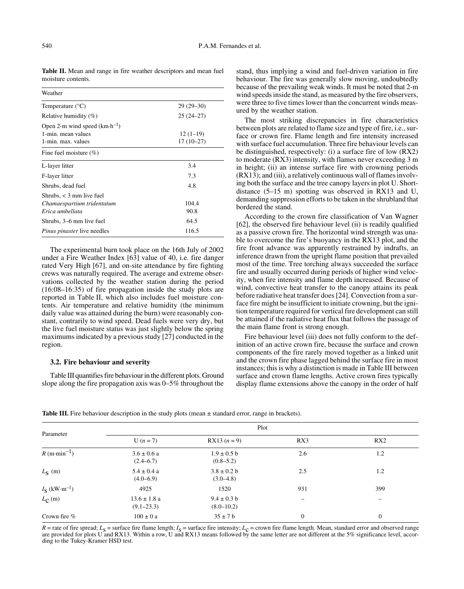**Table II.** Mean and range in fire weather descriptors and mean fuel moisture contents.

| Weather                                                                             |                           |
|-------------------------------------------------------------------------------------|---------------------------|
| Temperature $(^{\circ}C)$                                                           | $29(29-30)$               |
| Relative humidity $(\%)$                                                            | $25(24-27)$               |
| Open 2-m wind speed $(km \cdot h^{-1})$<br>1-min. mean values<br>1-min. max. values | $12(1-19)$<br>$17(10-27)$ |
| Fine fuel moisture $(\% )$                                                          |                           |
| L-layer litter                                                                      | 3.4                       |
| F-layer litter                                                                      | 7.3                       |
| Shrubs, dead fuel                                                                   | 4.8                       |
| Shrubs, $<$ 3 mm live fuel<br>Chamaespartium tridentatum<br>Erica umbellata         | 104.4<br>90.8             |
| Shrubs, 3–6 mm live fuel                                                            | 64.5                      |
| <i>Pinus pinaster</i> live needles                                                  | 116.5                     |

The experimental burn took place on the 16th July of 2002 under a Fire Weather Index [63] value of 40, i.e. fire danger rated Very High [67], and on-site attendance by fire fighting crews was naturally required. The average and extreme observations collected by the weather station during the period (16:08–16:35) of fire propagation inside the study plots are reported in Table II, which also includes fuel moisture contents. Air temperature and relative humidity (the minimum daily value was attained during the burn) were reasonably constant, contrarily to wind speed. Dead fuels were very dry, but the live fuel moisture status was just slightly below the spring maximums indicated by a previous study [27] conducted in the region.

#### **3.2. Fire behaviour and severity**

Table III quantifies fire behaviour in the different plots. Ground slope along the fire propagation axis was 0–5% throughout the stand, thus implying a wind and fuel-driven variation in fire behaviour. The fire was generally slow moving, undoubtedly because of the prevailing weak winds. It must be noted that 2-m wind speeds inside the stand, as measured by the fire observers, were three to five times lower than the concurrent winds measured by the weather station.

The most striking discrepancies in fire characteristics between plots are related to flame size and type of fire, i.e., surface or crown fire. Flame length and fire intensity increased with surface fuel accumulation. Three fire behaviour levels can be distinguished, respectively: (i) a surface fire of low (RX2) to moderate (RX3) intensity, with flames never exceeding 3 m in height; (ii) an intense surface fire with crowning periods (RX13); and (iii), a relatively continuous wall of flames involving both the surface and the tree canopy layers in plot U. Shortdistance (5–15 m) spotting was observed in RX13 and U, demanding suppression efforts to be taken in the shrubland that bordered the stand.

According to the crown fire classification of Van Wagner [62], the observed fire behaviour level (ii) is readily qualified as a passive crown fire. The horizontal wind strength was unable to overcome the fire's buoyancy in the RX13 plot, and the fire front advance was apparently restrained by indrafts, an inference drawn from the upright flame position that prevailed most of the time. Tree torching always succeeded the surface fire and usually occurred during periods of higher wind velocity, when fire intensity and flame depth increased. Because of wind, convective heat transfer to the canopy attains its peak before radiative heat transfer does [24]. Convection from a surface fire might be insufficient to initiate crowning, but the ignition temperature required for vertical fire development can still be attained if the radiative heat flux that follows the passage of the main flame front is strong enough.

Fire behaviour level (iii) does not fully conform to the definition of an active crown fire, because the surface and crown components of the fire rarely moved together as a linked unit and the crown fire phase lagged behind the surface fire in most instances; this is why a distinction is made in Table III between surface and crown flame lengths. Active crown fires typically display flame extensions above the canopy in the order of half

| Parameter                                 | Plot                               |                                   |          |     |  |
|-------------------------------------------|------------------------------------|-----------------------------------|----------|-----|--|
|                                           | U $(n = 7)$                        | $RX13 (n = 9)$                    | RX3      | RX2 |  |
| $R \text{ (m-min}^{-1})$                  | $3.6 \pm 0.6 a$<br>$(2.4 - 6.7)$   | $1.9 \pm 0.5 b$<br>$(0.8-5.2)$    | 2.6      | 1.2 |  |
| $L_{S}$ (m)                               | $5.4 \pm 0.4 a$<br>$(4.0-6.9)$     | $3.8 \pm 0.2 b$<br>$(3.0 - 4.8)$  | 2.5      | 1.2 |  |
| $I_{\rm S}$ (kW $\cdot$ m <sup>-1</sup> ) | 4925                               | 1520                              | 931      | 399 |  |
| $L_{\rm C}$ (m)                           | $13.6 \pm 1.8$ a<br>$(9.1 - 23.3)$ | $9.4 \pm 0.3$ b<br>$(8.0 - 10.2)$ | -        | -   |  |
| Crown fire $%$                            | $100 \pm 0 a$                      | $35 \pm 7$ b                      | $\theta$ | 0   |  |

**Table III.** Fire behaviour description in the study plots (mean ± standard error, range in brackets).

 $R$  = rate of fire spread;  $L_S$  = surface fire flame length;  $I_S$  = surface fire intensity;  $L_C$  = crown fire flame length. Mean, standard error and observed range are provided for plots U and RX13. Within a row, U and RX13 means followed by the same letter are not different at the 5% significance level, according to the Tukey-Kramer HSD test.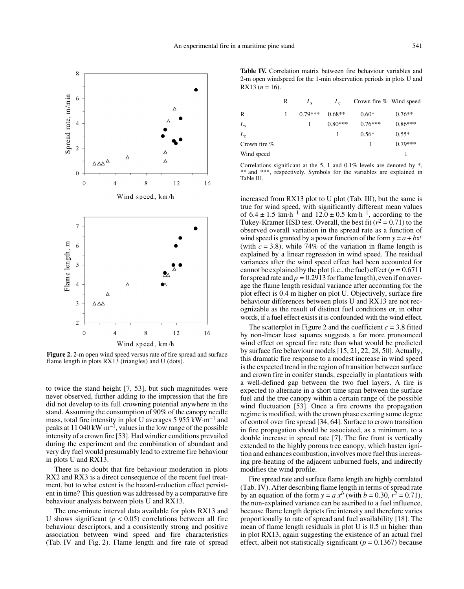

**Figure 2.** 2-m open wind speed versus rate of fire spread and surface flame length in plots  $RX13$  (triangles) and U (dots).

to twice the stand height [7, 53], but such magnitudes were never observed, further adding to the impression that the fire did not develop to its full crowning potential anywhere in the stand. Assuming the consumption of 90% of the canopy needle mass, total fire intensity in plot U averages 5 955 kW·m–1 and peaks at 11 040 kW $\cdot$ m<sup>-1</sup>, values in the low range of the possible intensity of a crown fire [53]. Had windier conditions prevailed during the experiment and the combination of abundant and very dry fuel would presumably lead to extreme fire behaviour in plots U and RX13.

There is no doubt that fire behaviour moderation in plots RX2 and RX3 is a direct consequence of the recent fuel treatment, but to what extent is the hazard-reduction effect persistent in time? This question was addressed by a comparative fire behaviour analysis between plots U and RX13.

The one-minute interval data available for plots RX13 and U shows significant (*p <* 0.05) correlations between all fire behaviour descriptors, and a consistently strong and positive association between wind speed and fire characteristics (Tab. IV and Fig. 2). Flame length and fire rate of spread

Table IV. Correlation matrix between fire behaviour variables and 2-m open windspeed for the 1-min observation periods in plots U and RX13  $(n = 16)$ .

|              | R | $L_{\rm c}$ | $L_c$     | Crown fire % Wind speed |           |
|--------------|---|-------------|-----------|-------------------------|-----------|
| R            |   | $0.79***$   | $0.68**$  | $0.60*$                 | $0.76**$  |
| $L_{\rm s}$  |   |             | $0.80***$ | $0.76***$               | $0.86***$ |
| $L_{\rm c}$  |   |             |           | $0.56*$                 | $0.55*$   |
| Crown fire % |   |             |           |                         | $0.79***$ |
| Wind speed   |   |             |           |                         |           |

Correlations significant at the 5, 1 and  $0.1\%$  levels are denoted by  $*$ . \*\* and \*\*\*, respectively. Symbols for the variables are explained in Table III.

increased from RX13 plot to U plot (Tab. III), but the same is true for wind speed, with significantly different mean values of  $6.4 \pm 1.5 \text{ km} \cdot \text{h}^{-1}$  and  $12.0 \pm 0.5 \text{ km} \cdot \text{h}^{-1}$ , according to the Tukey-Kramer HSD test. Overall, the best fit  $(r^2 = 0.71)$  to the observed overall variation in the spread rate as a function of wind speed is granted by a power function of the form  $y = a + bx^c$ (with  $c = 3.8$ ), while 74% of the variation in flame length is explained by a linear regression in wind speed. The residual variances after the wind speed effect had been accounted for cannot be explained by the plot (i.e., the fuel) effect ( $p = 0.6711$ for spread rate and  $p = 0.2913$  for flame length), even if on average the flame length residual variance after accounting for the plot effect is 0.4 m higher on plot U. Objectively, surface fire behaviour differences between plots U and RX13 are not recognizable as the result of distinct fuel conditions or, in other words, if a fuel effect exists it is confounded with the wind effect.

The scatterplot in Figure 2 and the coefficient  $c = 3.8$  fitted by non-linear least squares suggests a far more pronounced wind effect on spread fire rate than what would be predicted by surface fire behaviour models [15, 21, 22, 28, 50]. Actually, this dramatic fire response to a modest increase in wind speed is the expected trend in the region of transition between surface and crown fire in conifer stands, especially in plantations with a well-defined gap between the two fuel layers. A fire is expected to alternate in a short time span between the surface fuel and the tree canopy within a certain range of the possible wind fluctuation [53]. Once a fire crowns the propagation regime is modified, with the crown phase exerting some degree of control over fire spread [34, 64]. Surface to crown transition in fire propagation should be associated, as a minimum, to a double increase in spread rate [7]. The fire front is vertically extended to the highly porous tree canopy, which hasten ignition and enhances combustion, involves more fuel thus increasing pre-heating of the adjacent unburned fuels, and indirectly modifies the wind profile.

Fire spread rate and surface flame length are highly correlated (Tab. IV). After describing flame length in terms of spread rate by an equation of the form  $y = a x^b$  (with  $b = 0.30$ ,  $r^2 = 0.71$ ), the non-explained variance can be ascribed to a fuel influence, because flame length depicts fire intensity and therefore varies proportionally to rate of spread and fuel availability [18]. The mean of flame length residuals in plot U is 0.5 m higher than in plot RX13, again suggesting the existence of an actual fuel effect, albeit not statistically significant ( $p = 0.1367$ ) because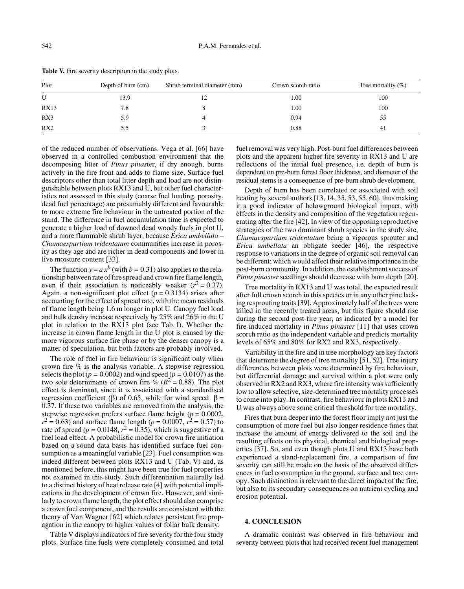| Plot        | Depth of burn (cm) | Shrub terminal diameter (mm) | Crown scorch ratio | Tree mortality $(\%)$ |
|-------------|--------------------|------------------------------|--------------------|-----------------------|
| U           | 13.9               | 12                           | 1.00               | 100                   |
| <b>RX13</b> | 7.8                |                              | 1.00               | 100                   |
| RX3         | 5.9                |                              | 0.94               | 55                    |
| RX2         | 5.5                |                              | 0.88               | 41                    |

Table V. Fire severity description in the study plots.

of the reduced number of observations. Vega et al. [66] have observed in a controlled combustion environment that the decomposing litter of *Pinus pinas*ter, if dry enough, burns actively in the fire front and adds to flame size. Surface fuel descriptors other than total litter depth and load are not distinguishable between plots RX13 and U, but other fuel characteristics not assessed in this study (coarse fuel loading, porosity, dead fuel percentage) are presumably different and favourable to more extreme fire behaviour in the untreated portion of the stand. The difference in fuel accumulation time is expected to generate a higher load of downed dead woody fuels in plot U, and a more flammable shrub layer, because *Erica umbellata* – *Chamaespartium tridentatum* communities increase in porosity as they age and are richer in dead components and lower in live moisture content [33].

The function  $y = a x^b$  (with  $b = 0.31$ ) also applies to the relationship between rate of fire spread and crown fire flame length, even if their association is noticeably weaker  $(r^2 = 0.37)$ . Again, a non-significant plot effect  $(p = 0.3134)$  arises after accounting for the effect of spread rate, with the mean residuals of flame length being 1.6 m longer in plot U. Canopy fuel load and bulk density increase respectively by 25% and 26% in the U plot in relation to the RX13 plot (see Tab. I). Whether the increase in crown flame length in the U plot is caused by the more vigorous surface fire phase or by the denser canopy is a matter of speculation, but both factors are probably involved.

The role of fuel in fire behaviour is significant only when crown fire % is the analysis variable. A stepwise regression selects the plot ( $p = 0.0002$ ) and wind speed ( $p = 0.0107$ ) as the two sole determinants of crown fire %  $(R^2 = 0.88)$ . The plot effect is dominant, since it is associated with a standardised regression coefficient (β) of 0.65, while for wind speed  $β =$ 0.37. If these two variables are removed from the analysis, the stepwise regression prefers surface flame height  $(p = 0.0002,$  $r^2 = 0.63$ ) and surface flame length ( $p = 0.0007$ ,  $r^2 = 0.57$ ) to rate of spread ( $p = 0.0148$ ,  $r^2 = 0.35$ ), which is suggestive of a fuel load effect. A probabilistic model for crown fire initiation based on a sound data basis has identified surface fuel consumption as a meaningful variable [23]. Fuel consumption was indeed different between plots RX13 and U (Tab. V) and, as mentioned before, this might have been true for fuel properties not examined in this study. Such differentiation naturally led to a distinct history of heat release rate [4] with potential implications in the development of crown fire. However, and similarly to crown flame length, the plot effect should also comprise a crown fuel component, and the results are consistent with the theory of Van Wagner [62] which relates persistent fire propagation in the canopy to higher values of foliar bulk density.

Table V displays indicators of fire severity for the four study plots. Surface fine fuels were completely consumed and total fuel removal was very high. Post-burn fuel differences between plots and the apparent higher fire severity in RX13 and U are reflections of the initial fuel presence, i.e. depth of burn is dependent on pre-burn forest floor thickness, and diameter of the residual stems is a consequence of pre-burn shrub development.

Depth of burn has been correlated or associated with soil heating by several authors [13, 14, 35, 53, 55, 60], thus making it a good indicator of belowground biological impact, with effects in the density and composition of the vegetation regenerating after the fire [42]. In view of the opposing reproductive strategies of the two dominant shrub species in the study site, *Chamaespartium tridentatum* being a vigorous sprouter and *Erica umbellata* an obligate seeder [46], the respective response to variations in the degree of organic soil removal can be different; which would affect their relative importance in the post-burn community. In addition, the establishment success of *Pinus pinaster* seedlings should decrease with burn depth [20].

Tree mortality in RX13 and U was total, the expected result after full crown scorch in this species or in any other pine lacking resprouting traits [39]. Approximately half of the trees were killed in the recently treated areas, but this figure should rise during the second post-fire year, as indicated by a model for fire-induced mortality in *Pinus pinaster* [11] that uses crown scorch ratio as the independent variable and predicts mortality levels of 65% and 80% for RX2 and RX3, respectively.

Variability in the fire and in tree morphology are key factors that determine the degree of tree mortality [51, 52]. Tree injury differences between plots were determined by fire behaviour, but differential damage and survival within a plot were only observed in RX2 and RX3, where fire intensity was sufficiently low to allow selective, size-determined tree mortality processes to come into play. In contrast, fire behaviour in plots RX13 and U was always above some critical threshold for tree mortality.

Fires that burn deeper into the forest floor imply not just the consumption of more fuel but also longer residence times that increase the amount of energy delivered to the soil and the resulting effects on its physical, chemical and biological properties [37]. So, and even though plots U and RX13 have both experienced a stand-replacement fire, a comparison of fire severity can still be made on the basis of the observed differences in fuel consumption in the ground, surface and tree canopy. Such distinction is relevant to the direct impact of the fire, but also to its secondary consequences on nutrient cycling and erosion potential.

# **4. CONCLUSION**

A dramatic contrast was observed in fire behaviour and severity between plots that had received recent fuel management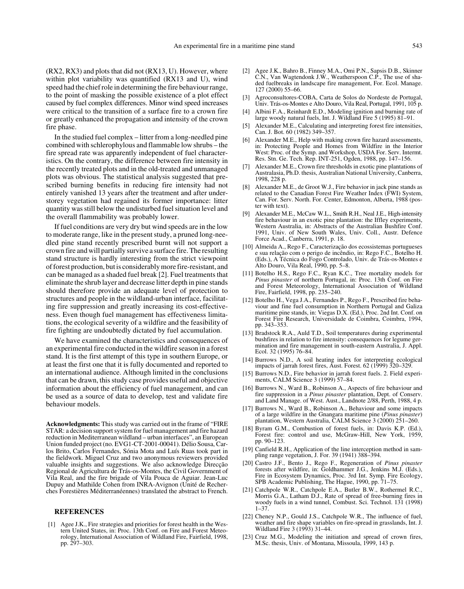(RX2, RX3) and plots that did not (RX13, U). However, where within plot variability was quantified (RX13 and U), wind speed had the chief role in determining the fire behaviour range, to the point of masking the possible existence of a plot effect caused by fuel complex differences. Minor wind speed increases were critical to the transition of a surface fire to a crown fire or greatly enhanced the propagation and intensity of the crown fire phase.

In the studied fuel complex – litter from a long-needled pine combined with schlerophylous and flammable low shrubs – the fire spread rate was apparently independent of fuel characteristics. On the contrary, the difference between fire intensity in the recently treated plots and in the old-treated and unmanaged plots was obvious. The statistical analysis suggested that prescribed burning benefits in reducing fire intensity had not entirely vanished 13 years after the treatment and after understorey vegetation had regained its former importance: litter quantity was still below the undisturbed fuel situation level and the overall flammability was probably lower.

If fuel conditions are very dry but wind speeds are in the low to moderate range, like in the present study, a pruned long-needled pine stand recently prescribed burnt will not support a crown fire and will partially survive a surface fire. The resulting stand structure is hardly interesting from the strict viewpoint of forest production, but is considerably more fire-resistant, and can be managed as a shaded fuel break [2]. Fuel treatments that eliminate the shrub layer and decrease litter depth in pine stands should therefore provide an adequate level of protection to structures and people in the wildland-urban interface, facilitating fire suppression and greatly increasing its cost-effectiveness. Even though fuel management has effectiveness limitations, the ecological severity of a wildfire and the feasibility of fire fighting are undoubtedly dictated by fuel accumulation.

We have examined the characteristics and consequences of an experimental fire conducted in the wildfire season in a forest stand. It is the first attempt of this type in southern Europe, or at least the first one that it is fully documented and reported to an international audience. Although limited in the conclusions that can be drawn, this study case provides useful and objective information about the efficiency of fuel management, and can be used as a source of data to develop, test and validate fire behaviour models.

**Acknowledgments:** This study was carried out in the frame of "FIRE STAR: a decision support system for fuel management and fire hazard reduction in Mediterranean wildland – urban interfaces", an European Union funded project (no. EVG1-CT-2001-00041). Délio Sousa, Carlos Brito, Carlos Fernandes, Sónia Mota and Luís Ruas took part in the fieldwork. Miguel Cruz and two anonymous reviewers provided valuable insights and suggestions. We also acknowledge Direcção Regional de Agricultura de Trás-os-Montes, the Civil Government of Vila Real, and the fire brigade of Vila Pouca de Aguiar. Jean-Luc Dupuy and Mathilde Cohen from INRA-Avignon (Unité de Recherches Forestières Méditerranéennes) translated the abstract to French.

#### **REFERENCES**

[1] Agee J.K., Fire strategies and priorities for forest health in the Western United States, in: Proc. 13th Conf. on Fire and Forest Meteorology, International Association of Wildland Fire, Fairfield, 1998, pp. 297–303.

- [2] Agee J.K., Bahro B., Finney M.A., Omi P.N., Sapsis D.B., Skinner C.N., Van Wagtendonk J.W., Weatherspoon C.P., The use of shaded fuelbreaks in landscape fire management, For. Ecol. Manage. 127 (2000) 55–66.
- Agroconsultores-COBA, Carta de Solos do Nordeste de Portugal, Univ. Trás-os-Montes e Alto Douro, Vila Real, Portugal, 1991, 105 p.
- [4] Albini F.A., Reinhardt E.D., Modeling ignition and burning rate of large woody natural fuels, Int. J. Wildland Fire  $5$  (1995)  $81-91$ .
- [5] Alexander M.E., Calculating and interpreting forest fire intensities, Can. J. Bot. 60 (1982) 349–357.
- [6] Alexander M.E., Help with making crown fire hazard assessments, in: Protecting People and Homes from Wildfire in the Interior West: Proc. of the Symp. and Workshop, USDA For. Serv. Intermt. Res. Stn. Ge. Tech. Rep. INT-251, Ogden, 1988, pp. 147–156.
- [7] Alexander M.E., Crown fire thresholds in exotic pine plantations of Australasia, Ph.D. thesis, Australian National University, Canberra, 1998, 228 p.
- [8] Alexander M.E., de Groot W.J., Fire behavior in jack pine stands as related to the Canadian Forest Fire Weather Index (FWI) System, Can. For. Serv. North. For. Center, Edmonton, Alberta, 1988 (poster with text).
- [9] Alexander M.E., McCaw W.L., Smith R.H., Neal J.E., High-intensity fire behaviour in an exotic pine plantation: the Iffley experiments, Western Australia, in: Abstracts of the Australian Bushfire Conf. 1991, Univ. of New South Wales, Univ. Coll., Austr. Defence Force Acad., Canberra, 1991, p. 18.
- [10] Almeida A., Rego F., Caracterização dos ecossistemas portugueses e sua relação com o perigo de incêndio, in: Rego F.C., Botelho H. (Eds.), A Técnica do Fogo Controlado, Univ. de Trás-os-Montes e Alto Douro, Vila Real, 1990, pp. 5–8.
- [11] Botelho H.S., Rego F.C., Ryan K.C., Tree mortality models for *Pinus pinaster* of northern Portugal, in: Proc. 13th Conf. on Fire and Forest Meteorology, International Association of Wildland Fire, Fairfield, 1998, pp. 235–240.
- [12] Botelho H., Vega J.A., Fernandes P., Rego F., Prescribed fire behaviour and fine fuel consumption in Northern Portugal and Galiza maritime pine stands, in: Viegas D.X. (Ed.), Proc. 2nd Int. Conf. on Forest Fire Research, Universidade de Coimbra, Coimbra, 1994, pp. 343–353.
- [13] Bradstock R.A., Auld T.D., Soil temperatures during experimental bushfires in relation to fire intensity: consequences for legume germination and fire management in south-eastern Australia, J. Appl. Ecol. 32 (1995) 76–84.
- [14] Burrows N.D., A soil heating index for interpreting ecological impacts of jarrah forest fires, Aust. Forest. 62 (1999) 320–329.
- [15] Burrows N.D., Fire behavior in jarrah forest fuels. 2. Field experiments, CALM Science 3 (1999) 57–84.
- [16] Burrows N., Ward B., Robinson A., Aspects of fire behaviour and fire suppression in a *Pinus pinaster* plantation, Dept. of Conserv. and Land Manage. of West. Aust., Landnote 2/88, Perth, 1988, 4 p.
- [17] Burrows N., Ward B., Robinson A., Behaviour and some impacts of a large wildfire in the Gnangara maritime pine (*Pinus pinaster*) plantation, Western Australia, CALM Science 3 (2000) 251–260.
- [18] Byram G.M., Combustion of forest fuels, in: Davis K.P. (Ed.), Forest fire: control and use, McGraw-Hill, New York, 1959, pp. 90–123.
- [19] Canfield R.H., Application of the line interception method in sampling range vegetation, J. For. 39 (1941) 388–394.
- [20] Castro J.F., Bento J., Rego F., Regeneration of *Pinus pinaster* forests after wildfire, in: Goldhammer J.G., Jenkins M.J. (Eds.), Fire in Ecosystem Dynamics, Proc. 3rd Int. Symp. Fire Ecology, SPB Academic Publishing, The Hague, 1990, pp. 71–75.
- [21] Catchpole W.R., Catchpole E.A., Butler B.W., Rothermel R.C., Morris G.A., Latham D.J., Rate of spread of free-burning fires in woody fuels in a wind tunnel, Combust. Sci. Technol. 131 (1998)  $1 - 37$
- [22] Cheney N.P., Gould J.S., Catchpole W.R., The influence of fuel, weather and fire shape variables on fire-spread in grasslands, Int. J. Wildland Fire 3 (1993) 31–44.
- [23] Cruz M.G., Modeling the initiation and spread of crown fires, M.Sc. thesis, Univ. of Montana, Missoula, 1999, 143 p.